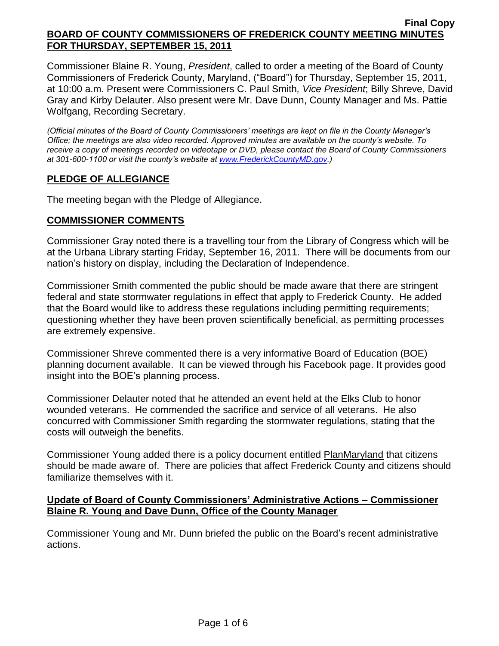Commissioner Blaine R. Young, *President*, called to order a meeting of the Board of County Commissioners of Frederick County, Maryland, ("Board") for Thursday, September 15, 2011, at 10:00 a.m. Present were Commissioners C. Paul Smith*, Vice President*; Billy Shreve, David Gray and Kirby Delauter. Also present were Mr. Dave Dunn, County Manager and Ms. Pattie Wolfgang, Recording Secretary.

*(Official minutes of the Board of County Commissioners' meetings are kept on file in the County Manager's Office; the meetings are also video recorded. Approved minutes are available on the county's website. To receive a copy of meetings recorded on videotape or DVD, please contact the Board of County Commissioners at 301-600-1100 or visit the county's website at [www.FrederickCountyMD.gov.](http://www.frederickcountymd.gov/))*

# **PLEDGE OF ALLEGIANCE**

The meeting began with the Pledge of Allegiance.

### **COMMISSIONER COMMENTS**

Commissioner Gray noted there is a travelling tour from the Library of Congress which will be at the Urbana Library starting Friday, September 16, 2011. There will be documents from our nation's history on display, including the Declaration of Independence.

Commissioner Smith commented the public should be made aware that there are stringent federal and state stormwater regulations in effect that apply to Frederick County. He added that the Board would like to address these regulations including permitting requirements; questioning whether they have been proven scientifically beneficial, as permitting processes are extremely expensive.

Commissioner Shreve commented there is a very informative Board of Education (BOE) planning document available. It can be viewed through his Facebook page. It provides good insight into the BOE's planning process.

Commissioner Delauter noted that he attended an event held at the Elks Club to honor wounded veterans. He commended the sacrifice and service of all veterans. He also concurred with Commissioner Smith regarding the stormwater regulations, stating that the costs will outweigh the benefits.

Commissioner Young added there is a policy document entitled PlanMaryland that citizens should be made aware of. There are policies that affect Frederick County and citizens should familiarize themselves with it.

### **Update of Board of County Commissioners' Administrative Actions – Commissioner Blaine R. Young and Dave Dunn, Office of the County Manager**

Commissioner Young and Mr. Dunn briefed the public on the Board's recent administrative actions.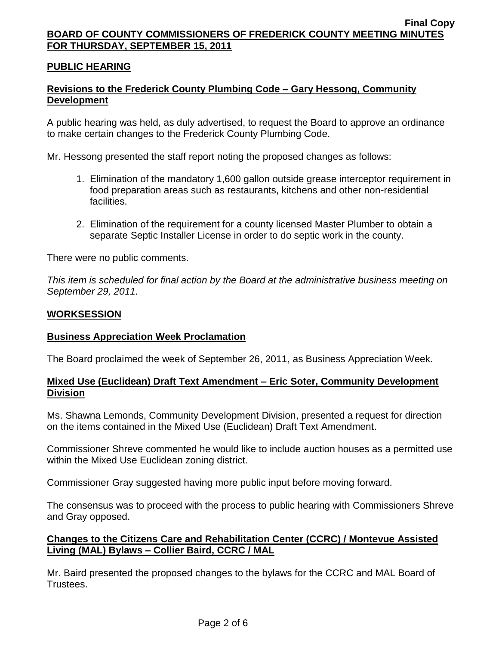### **PUBLIC HEARING**

## **Revisions to the Frederick County Plumbing Code – Gary Hessong, Community Development**

A public hearing was held, as duly advertised, to request the Board to approve an ordinance to make certain changes to the Frederick County Plumbing Code.

Mr. Hessong presented the staff report noting the proposed changes as follows:

- 1. Elimination of the mandatory 1,600 gallon outside grease interceptor requirement in food preparation areas such as restaurants, kitchens and other non-residential facilities.
- 2. Elimination of the requirement for a county licensed Master Plumber to obtain a separate Septic Installer License in order to do septic work in the county.

There were no public comments.

*This item is scheduled for final action by the Board at the administrative business meeting on September 29, 2011.*

### **WORKSESSION**

### **Business Appreciation Week Proclamation**

The Board proclaimed the week of September 26, 2011, as Business Appreciation Week.

### **Mixed Use (Euclidean) Draft Text Amendment – Eric Soter, Community Development Division**

Ms. Shawna Lemonds, Community Development Division, presented a request for direction on the items contained in the Mixed Use (Euclidean) Draft Text Amendment.

Commissioner Shreve commented he would like to include auction houses as a permitted use within the Mixed Use Euclidean zoning district.

Commissioner Gray suggested having more public input before moving forward.

The consensus was to proceed with the process to public hearing with Commissioners Shreve and Gray opposed.

### **Changes to the Citizens Care and Rehabilitation Center (CCRC) / Montevue Assisted Living (MAL) Bylaws – Collier Baird, CCRC / MAL**

Mr. Baird presented the proposed changes to the bylaws for the CCRC and MAL Board of Trustees.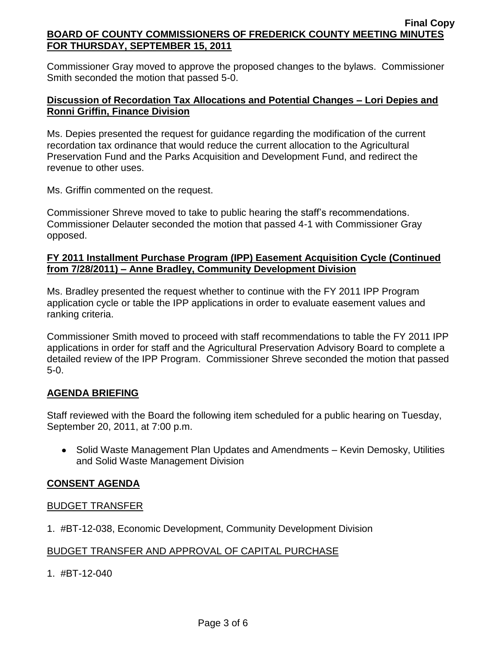Commissioner Gray moved to approve the proposed changes to the bylaws. Commissioner Smith seconded the motion that passed 5-0.

# **Discussion of Recordation Tax Allocations and Potential Changes – Lori Depies and Ronni Griffin, Finance Division**

Ms. Depies presented the request for guidance regarding the modification of the current recordation tax ordinance that would reduce the current allocation to the Agricultural Preservation Fund and the Parks Acquisition and Development Fund, and redirect the revenue to other uses.

Ms. Griffin commented on the request.

Commissioner Shreve moved to take to public hearing the staff's recommendations. Commissioner Delauter seconded the motion that passed 4-1 with Commissioner Gray opposed.

### **FY 2011 Installment Purchase Program (IPP) Easement Acquisition Cycle (Continued from 7/28/2011) – Anne Bradley, Community Development Division**

Ms. Bradley presented the request whether to continue with the FY 2011 IPP Program application cycle or table the IPP applications in order to evaluate easement values and ranking criteria.

Commissioner Smith moved to proceed with staff recommendations to table the FY 2011 IPP applications in order for staff and the Agricultural Preservation Advisory Board to complete a detailed review of the IPP Program. Commissioner Shreve seconded the motion that passed 5-0.

# **AGENDA BRIEFING**

Staff reviewed with the Board the following item scheduled for a public hearing on Tuesday, September 20, 2011, at 7:00 p.m.

• Solid Waste Management Plan Updates and Amendments – Kevin Demosky, Utilities and Solid Waste Management Division

# **CONSENT AGENDA**

### BUDGET TRANSFER

1. #BT-12-038, Economic Development, Community Development Division

# BUDGET TRANSFER AND APPROVAL OF CAPITAL PURCHASE

1. #BT-12-040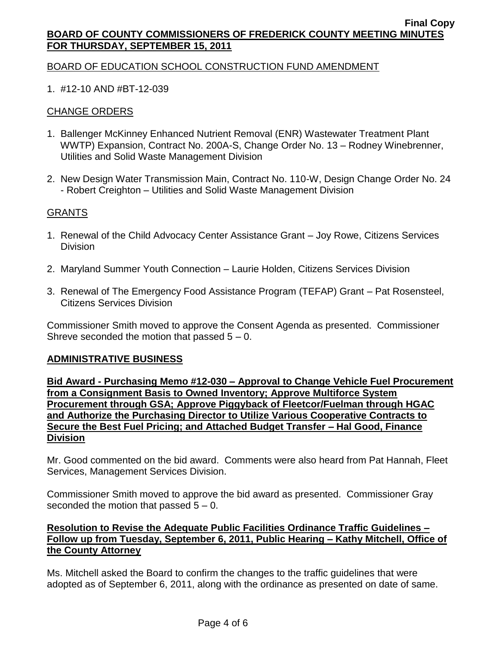### BOARD OF EDUCATION SCHOOL CONSTRUCTION FUND AMENDMENT

# 1. #12-10 AND #BT-12-039

# CHANGE ORDERS

- 1. Ballenger McKinney Enhanced Nutrient Removal (ENR) Wastewater Treatment Plant WWTP) Expansion, Contract No. 200A-S, Change Order No. 13 – Rodney Winebrenner, Utilities and Solid Waste Management Division
- 2. New Design Water Transmission Main, Contract No. 110-W, Design Change Order No. 24 - Robert Creighton – Utilities and Solid Waste Management Division

### GRANTS

- 1. Renewal of the Child Advocacy Center Assistance Grant Joy Rowe, Citizens Services Division
- 2. Maryland Summer Youth Connection Laurie Holden, Citizens Services Division
- 3. Renewal of The Emergency Food Assistance Program (TEFAP) Grant Pat Rosensteel, Citizens Services Division

Commissioner Smith moved to approve the Consent Agenda as presented. Commissioner Shreve seconded the motion that passed  $5 - 0$ .

#### **ADMINISTRATIVE BUSINESS**

**Bid Award - Purchasing Memo #12-030 – Approval to Change Vehicle Fuel Procurement from a Consignment Basis to Owned Inventory; Approve Multiforce System Procurement through GSA; Approve Piggyback of Fleetcor/Fuelman through HGAC and Authorize the Purchasing Director to Utilize Various Cooperative Contracts to Secure the Best Fuel Pricing; and Attached Budget Transfer – Hal Good, Finance Division**

Mr. Good commented on the bid award. Comments were also heard from Pat Hannah, Fleet Services, Management Services Division.

Commissioner Smith moved to approve the bid award as presented. Commissioner Gray seconded the motion that passed  $5 - 0$ .

# **Resolution to Revise the Adequate Public Facilities Ordinance Traffic Guidelines – Follow up from Tuesday, September 6, 2011, Public Hearing – Kathy Mitchell, Office of the County Attorney**

Ms. Mitchell asked the Board to confirm the changes to the traffic guidelines that were adopted as of September 6, 2011, along with the ordinance as presented on date of same.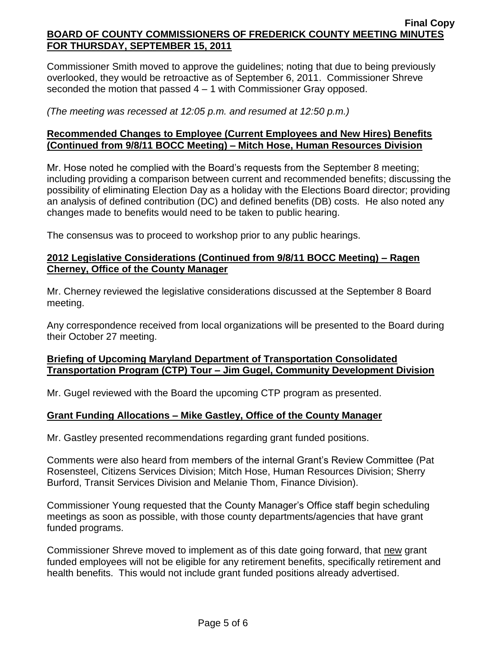Commissioner Smith moved to approve the guidelines; noting that due to being previously overlooked, they would be retroactive as of September 6, 2011. Commissioner Shreve seconded the motion that passed 4 – 1 with Commissioner Gray opposed.

*(The meeting was recessed at 12:05 p.m. and resumed at 12:50 p.m.)*

### **Recommended Changes to Employee (Current Employees and New Hires) Benefits (Continued from 9/8/11 BOCC Meeting) – Mitch Hose, Human Resources Division**

Mr. Hose noted he complied with the Board's requests from the September 8 meeting; including providing a comparison between current and recommended benefits; discussing the possibility of eliminating Election Day as a holiday with the Elections Board director; providing an analysis of defined contribution (DC) and defined benefits (DB) costs. He also noted any changes made to benefits would need to be taken to public hearing.

The consensus was to proceed to workshop prior to any public hearings.

### **2012 Legislative Considerations (Continued from 9/8/11 BOCC Meeting) – Ragen Cherney, Office of the County Manager**

Mr. Cherney reviewed the legislative considerations discussed at the September 8 Board meeting.

Any correspondence received from local organizations will be presented to the Board during their October 27 meeting.

# **Briefing of Upcoming Maryland Department of Transportation Consolidated Transportation Program (CTP) Tour – Jim Gugel, Community Development Division**

Mr. Gugel reviewed with the Board the upcoming CTP program as presented.

# **Grant Funding Allocations – Mike Gastley, Office of the County Manager**

Mr. Gastley presented recommendations regarding grant funded positions.

Comments were also heard from members of the internal Grant's Review Committee (Pat Rosensteel, Citizens Services Division; Mitch Hose, Human Resources Division; Sherry Burford, Transit Services Division and Melanie Thom, Finance Division).

Commissioner Young requested that the County Manager's Office staff begin scheduling meetings as soon as possible, with those county departments/agencies that have grant funded programs.

Commissioner Shreve moved to implement as of this date going forward, that new grant funded employees will not be eligible for any retirement benefits, specifically retirement and health benefits. This would not include grant funded positions already advertised.